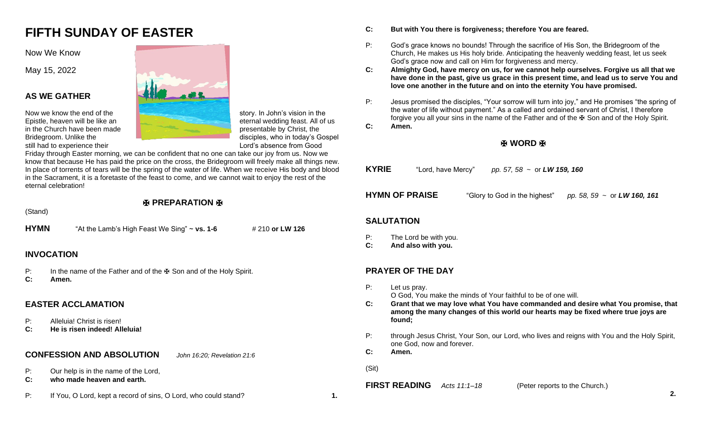# **FIFTH SUNDAY OF EASTER**

Now We Know

May 15, 2022

# **AS WE GATHER**

still had to experience their **Lord's absence from Good** 



Friday through Easter morning, we can be confident that no one can take our joy from us. Now we know that because He has paid the price on the cross, the Bridegroom will freely make all things new. In place of torrents of tears will be the spring of the water of life. When we receive His body and blood in the Sacrament, it is a foretaste of the feast to come, and we cannot wait to enjoy the rest of the eternal celebration!

|                      | (Stand)                                                                               |                                                                    |                             |  |  |
|----------------------|---------------------------------------------------------------------------------------|--------------------------------------------------------------------|-----------------------------|--|--|
| <b>HYMN</b>          |                                                                                       | "At the Lamb's High Feast We Sing" $\sim$ vs. 1-6                  | # 210 or LW 126             |  |  |
|                      |                                                                                       |                                                                    |                             |  |  |
|                      | <b>INVOCATION</b>                                                                     |                                                                    |                             |  |  |
| P:<br>$\mathbf{C}$ : | In the name of the Father and of the $\mathbb F$ Son and of the Holy Spirit.<br>Amen. |                                                                    |                             |  |  |
|                      |                                                                                       | <b>EASTER ACCLAMATION</b>                                          |                             |  |  |
| P:<br>$\mathbf{C}$ : |                                                                                       | Alleluia! Christ is risen!<br>He is risen indeed! Alleluia!        |                             |  |  |
|                      |                                                                                       | <b>CONFESSION AND ABSOLUTION</b>                                   | John 16:20; Revelation 21:6 |  |  |
| P:<br>C:             |                                                                                       | Our help is in the name of the Lord,<br>who made heaven and earth. |                             |  |  |

P: If You, O Lord, kept a record of sins, O Lord, who could stand? **1.**

- **C: But with You there is forgiveness; therefore You are feared.**
- P: God's grace knows no bounds! Through the sacrifice of His Son, the Bridegroom of the Church, He makes us His holy bride. Anticipating the heavenly wedding feast, let us seek God's grace now and call on Him for forgiveness and mercy.
- **C: Almighty God, have mercy on us, for we cannot help ourselves. Forgive us all that we have done in the past, give us grace in this present time, and lead us to serve You and love one another in the future and on into the eternity You have promised.**
- P: Jesus promised the disciples, "Your sorrow will turn into joy," and He promises "the spring of the water of life without payment." As a called and ordained servant of Christ, I therefore forgive you all your sins in the name of the Father and of the ₩ Son and of the Holy Spirit.
- **C: Amen.**

# ✠ **WORD** ✠

| KYRIE             | "Lord, have Mercy"                          | pp. 57, 58 $\sim$ or LW 159, 160 |                                  |  |  |
|-------------------|---------------------------------------------|----------------------------------|----------------------------------|--|--|
|                   | <b>HYMN OF PRAISE</b>                       | "Glory to God in the highest"    | pp. 58, 59 $\sim$ or LW 160, 161 |  |  |
| <b>SALUTATION</b> |                                             |                                  |                                  |  |  |
| Р:<br>C:          | The Lord be with you.<br>And also with you. |                                  |                                  |  |  |

# **PRAYER OF THE DAY**

- P: Let us pray. O God, You make the minds of Your faithful to be of one will.
- **C: Grant that we may love what You have commanded and desire what You promise, that among the many changes of this world our hearts may be fixed where true joys are found;**
- P: through Jesus Christ, Your Son, our Lord, who lives and reigns with You and the Holy Spirit, one God, now and forever.

**C: Amen.**

(Sit)

# **FIRST READING** *Acts 11:1–18* (Peter reports to the Church.)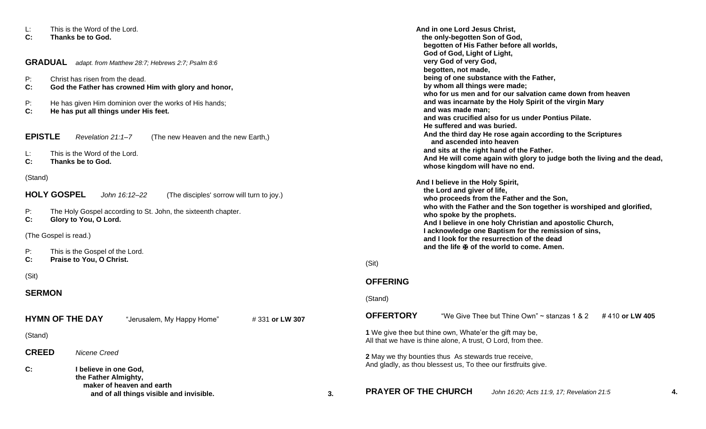| L:<br>This is the Word of the Lord.<br>C:<br>Thanks be to God.                                                                                                                                                     |                                                                                                                |    | And in one Lord Jesus Christ,<br>the only-begotten Son of God,<br>begotten of His Father before all worlds,<br>God of God, Light of Light,                                                                                                                                                                                                |  |  |
|--------------------------------------------------------------------------------------------------------------------------------------------------------------------------------------------------------------------|----------------------------------------------------------------------------------------------------------------|----|-------------------------------------------------------------------------------------------------------------------------------------------------------------------------------------------------------------------------------------------------------------------------------------------------------------------------------------------|--|--|
| <b>GRADUAL</b>                                                                                                                                                                                                     | adapt. from Matthew 28:7; Hebrews 2:7; Psalm 8:6                                                               |    | very God of very God,<br>begotten, not made,                                                                                                                                                                                                                                                                                              |  |  |
| P:<br>Christ has risen from the dead.<br>C:<br>God the Father has crowned Him with glory and honor,<br>P:<br>He has given Him dominion over the works of His hands;<br>C:<br>He has put all things under His feet. |                                                                                                                |    | being of one substance with the Father,<br>by whom all things were made;<br>who for us men and for our salvation came down from heaven<br>and was incarnate by the Holy Spirit of the virgin Mary<br>and was made man;                                                                                                                    |  |  |
| <b>EPISTLE</b><br>L:<br>C:                                                                                                                                                                                         | Revelation 21:1-7<br>(The new Heaven and the new Earth,)<br>This is the Word of the Lord.<br>Thanks be to God. |    | and was crucified also for us under Pontius Pilate.<br>He suffered and was buried.<br>And the third day He rose again according to the Scriptures<br>and ascended into heaven<br>and sits at the right hand of the Father.<br>And He will come again with glory to judge both the living and the dead,<br>whose kingdom will have no end. |  |  |
| (Stand)<br><b>HOLY GOSPEL</b><br>John 16:12-22<br>(The disciples' sorrow will turn to joy.)<br>P:<br>The Holy Gospel according to St. John, the sixteenth chapter.                                                 |                                                                                                                |    | And I believe in the Holy Spirit,<br>the Lord and giver of life,<br>who proceeds from the Father and the Son,<br>who with the Father and the Son together is worshiped and glorified,<br>who spoke by the prophets.                                                                                                                       |  |  |
| C:<br>Glory to You, O Lord.<br>(The Gospel is read.)<br>P:<br>This is the Gospel of the Lord.<br>C:<br>Praise to You, O Christ.                                                                                    |                                                                                                                |    | And I believe in one holy Christian and apostolic Church,<br>I acknowledge one Baptism for the remission of sins,<br>and I look for the resurrection of the dead<br>and the life $\mathbb F$ of the world to come. Amen.                                                                                                                  |  |  |
| (Sit)<br><b>SERMON</b>                                                                                                                                                                                             |                                                                                                                |    | (Sit)<br><b>OFFERING</b>                                                                                                                                                                                                                                                                                                                  |  |  |
|                                                                                                                                                                                                                    | <b>HYMN OF THE DAY</b><br>#331 or LW 307<br>"Jerusalem, My Happy Home"                                         |    | (Stand)<br><b>OFFERTORY</b><br>"We Give Thee but Thine Own" $\sim$ stanzas 1 & 2<br>#410 or LW 405                                                                                                                                                                                                                                        |  |  |
| (Stand)                                                                                                                                                                                                            |                                                                                                                |    | 1 We give thee but thine own, Whate'er the gift may be,<br>All that we have is thine alone, A trust, O Lord, from thee.                                                                                                                                                                                                                   |  |  |
| <b>CREED</b><br>C:                                                                                                                                                                                                 | Nicene Creed<br>I believe in one God,<br>the Father Almighty,                                                  |    | 2 May we thy bounties thus As stewards true receive,<br>And gladly, as thou blessest us, To thee our firstfruits give.                                                                                                                                                                                                                    |  |  |
|                                                                                                                                                                                                                    | maker of heaven and earth<br>and of all things visible and invisible.                                          | 3. | <b>PRAYER OF THE CHURCH</b><br>John 16:20; Acts 11:9, 17; Revelation 21:5<br>4.                                                                                                                                                                                                                                                           |  |  |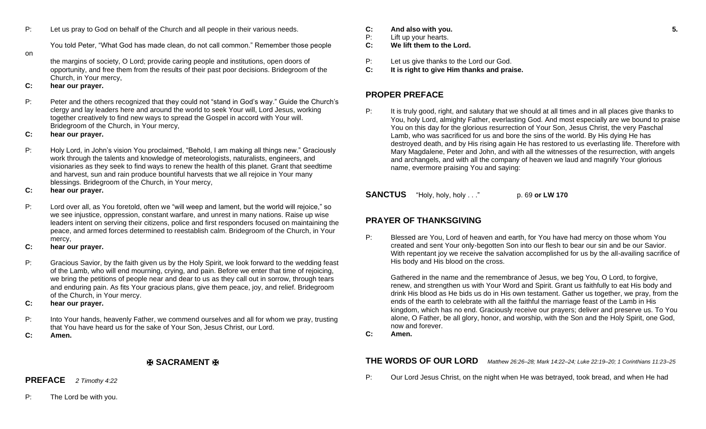P: Let us pray to God on behalf of the Church and all people in their various needs.

You told Peter, "What God has made clean, do not call common." Remember those people

on

the margins of society, O Lord; provide caring people and institutions, open doors of opportunity, and free them from the results of their past poor decisions. Bridegroom of the Church, in Your mercy,

## **C: hear our prayer.**

- P: Peter and the others recognized that they could not "stand in God's way." Guide the Church's clergy and lay leaders here and around the world to seek Your will, Lord Jesus, working together creatively to find new ways to spread the Gospel in accord with Your will. Bridegroom of the Church, in Your mercy,
- **C: hear our prayer.**
- P: Holy Lord, in John's vision You proclaimed, "Behold, I am making all things new." Graciously work through the talents and knowledge of meteorologists, naturalists, engineers, and visionaries as they seek to find ways to renew the health of this planet. Grant that seedtime and harvest, sun and rain produce bountiful harvests that we all rejoice in Your many blessings. Bridegroom of the Church, in Your mercy,
- **C: hear our prayer.**
- P: Lord over all, as You foretold, often we "will weep and lament, but the world will rejoice," so we see injustice, oppression, constant warfare, and unrest in many nations. Raise up wise leaders intent on serving their citizens, police and first responders focused on maintaining the peace, and armed forces determined to reestablish calm. Bridegroom of the Church, in Your mercy,
- **C: hear our prayer.**
- P: Gracious Savior, by the faith given us by the Holy Spirit, we look forward to the wedding feast of the Lamb, who will end mourning, crying, and pain. Before we enter that time of rejoicing, we bring the petitions of people near and dear to us as they call out in sorrow, through tears and enduring pain. As fits Your gracious plans, give them peace, joy, and relief. Bridegroom of the Church, in Your mercy.
- **C: hear our prayer.**
- P: Into Your hands, heavenly Father, we commend ourselves and all for whom we pray, trusting that You have heard us for the sake of Your Son, Jesus Christ, our Lord.
- **C: Amen.**

# ✠ **SACRAMENT** ✠

**PREFACE** *2 Timothy 4:22*

- **C: And also with you. 5.**
- P: Lift up your hearts.
- **C: We lift them to the Lord.**
- P: Let us give thanks to the Lord our God.
- **C: It is right to give Him thanks and praise.**

# **PROPER PREFACE**

P: It is truly good, right, and salutary that we should at all times and in all places give thanks to You, holy Lord, almighty Father, everlasting God. And most especially are we bound to praise You on this day for the glorious resurrection of Your Son, Jesus Christ, the very Paschal Lamb, who was sacrificed for us and bore the sins of the world. By His dying He has destroyed death, and by His rising again He has restored to us everlasting life. Therefore with Mary Magdalene, Peter and John, and with all the witnesses of the resurrection, with angels and archangels, and with all the company of heaven we laud and magnify Your glorious name, evermore praising You and saying:

**SANCTUS** "Holy, holy, holy . . ." p. 69 or LW 170

# **PRAYER OF THANKSGIVING**

P: Blessed are You, Lord of heaven and earth, for You have had mercy on those whom You created and sent Your only-begotten Son into our flesh to bear our sin and be our Savior. With repentant joy we receive the salvation accomplished for us by the all-availing sacrifice of His body and His blood on the cross.

Gathered in the name and the remembrance of Jesus, we beg You, O Lord, to forgive, renew, and strengthen us with Your Word and Spirit. Grant us faithfully to eat His body and drink His blood as He bids us do in His own testament. Gather us together, we pray, from the ends of the earth to celebrate with all the faithful the marriage feast of the Lamb in His kingdom, which has no end. Graciously receive our prayers; deliver and preserve us. To You alone, O Father, be all glory, honor, and worship, with the Son and the Holy Spirit, one God, now and forever.

**C: Amen.**

**THE WORDS OF OUR LORD** *Matthew 26:26–28; Mark 14:22–24; Luke 22:19–20; 1 Corinthians 11:23–25*

P: Our Lord Jesus Christ, on the night when He was betrayed, took bread, and when He had

P: The Lord be with you.